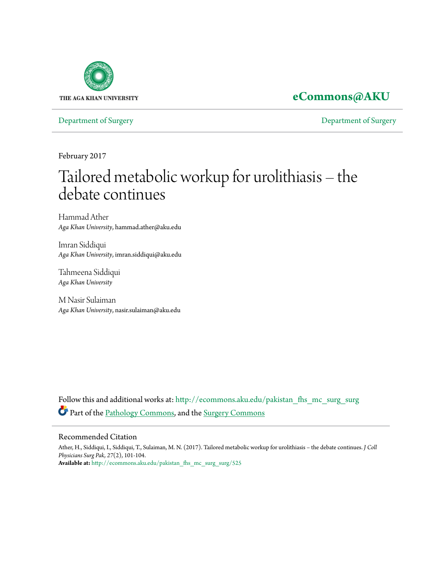

## **[eCommons@AKU](http://ecommons.aku.edu?utm_source=ecommons.aku.edu%2Fpakistan_fhs_mc_surg_surg%2F525&utm_medium=PDF&utm_campaign=PDFCoverPages)**

[Department of Surgery](http://ecommons.aku.edu/pakistan_fhs_mc_surg_surg?utm_source=ecommons.aku.edu%2Fpakistan_fhs_mc_surg_surg%2F525&utm_medium=PDF&utm_campaign=PDFCoverPages) [Department of Surgery](http://ecommons.aku.edu/pakistan_fhs_mc_surg?utm_source=ecommons.aku.edu%2Fpakistan_fhs_mc_surg_surg%2F525&utm_medium=PDF&utm_campaign=PDFCoverPages)

February 2017

# Tailored metabolic workup for urolithiasis – the debate continues

Hammad Ather *Aga Khan University*, hammad.ather@aku.edu

Imran Siddiqui *Aga Khan University*, imran.siddiqui@aku.edu

Tahmeena Siddiqui *Aga Khan University*

M Nasir Sulaiman *Aga Khan University*, nasir.sulaiman@aku.edu

Follow this and additional works at: [http://ecommons.aku.edu/pakistan\\_fhs\\_mc\\_surg\\_surg](http://ecommons.aku.edu/pakistan_fhs_mc_surg_surg?utm_source=ecommons.aku.edu%2Fpakistan_fhs_mc_surg_surg%2F525&utm_medium=PDF&utm_campaign=PDFCoverPages) Part of the [Pathology Commons](http://network.bepress.com/hgg/discipline/699?utm_source=ecommons.aku.edu%2Fpakistan_fhs_mc_surg_surg%2F525&utm_medium=PDF&utm_campaign=PDFCoverPages), and the [Surgery Commons](http://network.bepress.com/hgg/discipline/706?utm_source=ecommons.aku.edu%2Fpakistan_fhs_mc_surg_surg%2F525&utm_medium=PDF&utm_campaign=PDFCoverPages)

#### Recommended Citation

Ather, H., Siddiqui, I., Siddiqui, T., Sulaiman, M. N. (2017). Tailored metabolic workup for urolithiasis – the debate continues. *J Coll Physicians Surg Pak, 27*(2), 101-104. **Available at:** [http://ecommons.aku.edu/pakistan\\_fhs\\_mc\\_surg\\_surg/525](http://ecommons.aku.edu/pakistan_fhs_mc_surg_surg/525)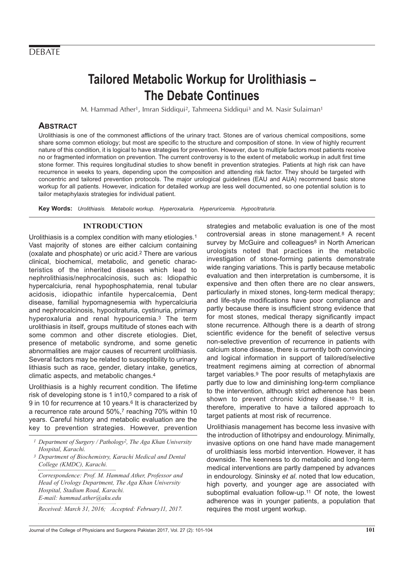### **DEBATE**

## **Tailored Metabolic Workup for Urolithiasis – The Debate Continues**

M. Hammad Ather<sup>1</sup>, Imran Siddiqui<sup>2</sup>, Tahmeena Siddiqui<sup>3</sup> and M. Nasir Sulaiman<sup>1</sup>

#### **ABSTRACT**

Urolithiasis is one of the commonest afflictions of the urinary tract. Stones are of various chemical compositions, some share some common etiology; but most are specific to the structure and composition of stone. In view of highly recurrent nature of this condition, it is logical to have strategies for prevention. However, due to multiple factors most patients receive no or fragmented information on prevention. The current controversy is to the extent of metabolic workup in adult first time stone former. This requires longitudinal studies to show benefit in prevention strategies. Patients at high risk can have recurrence in weeks to years, depending upon the composition and attending risk factor. They should be targeted with concentric and tailored prevention protocols. The major urological guidelines (EAU and AUA) recommend basic stone workup for all patients. However, indication for detailed workup are less well documented, so one potential solution is to tailor metaphylaxis strategies for individual patient.

**Key Words:** Urolithiasis. Metabolic workup. Hyperoxaluria. Hyperuricemia. Hypocitraturia.

#### **INTRODUCTION**

Urolithiasis is a complex condition with many etiologies.1 Vast majority of stones are either calcium containing (oxalate and phosphate) or uric acid.2 There are various clinical, biochemical, metabolic, and genetic characteristics of the inherited diseases which lead to nephrolithiasis/nephrocalcinosis, such as: Idiopathic hypercalciuria, renal hypophosphatemia, renal tubular acidosis, idiopathic infantile hypercalcemia, Dent disease, familial hypomagnesemia with hypercalciuria and nephrocalcinosis, hypocitraturia, cystinuria, primary hyperoxaluria and renal hypouricemia.3 The term urolithiasis in itself, groups multitude of stones each with some common and other discrete etiologies. Diet, presence of metabolic syndrome, and some genetic abnormalities are major causes of recurrent urolithiasis. Several factors may be related to susceptibility to urinary lithiasis such as race, gender, dietary intake, genetics, climatic aspects, and metabolic changes.4

Urolithiasis is a highly recurrent condition. The lifetime risk of developing stone is 1 in10,<sup>5</sup> compared to a risk of 9 in 10 for recurrence at 10 years.6 It is characterized by a recurrence rate around 50%,7 reaching 70% within 10 years. Careful history and metabolic evaluation are the key to prevention strategies. However, prevention

*Correspondence: Prof. M. Hammad Ather, Professor and Head of Urology Department, The Aga Khan University Hospital, Stadium Road, Karachi. E-mail: hammad.ather@aku.edu*

*Received: March 31, 2016; Accepted: February11, 2017.*

strategies and metabolic evaluation is one of the most controversial areas in stone management.8 A recent survey by McGuire and colleagues<sup>8</sup> in North American urologists noted that practices in the metabolic investigation of stone-forming patients demonstrate wide ranging variations. This is partly because metabolic evaluation and then interpretation is cumbersome, it is expensive and then often there are no clear answers, particularly in mixed stones, long-term medical therapy; and life-style modifications have poor compliance and partly because there is insufficient strong evidence that for most stones, medical therapy significantly impact stone recurrence. Although there is a dearth of strong scientific evidence for the benefit of selective versus non-selective prevention of recurrence in patients with calcium stone disease, there is currently both convincing and logical information in support of tailored/selective treatment regimens aiming at correction of abnormal target variables.9 The poor results of metaphylaxis are partly due to low and diminishing long-term compliance to the intervention, although strict adherence has been shown to prevent chronic kidney disease.10 It is, therefore, imperative to have a tailored approach to target patients at most risk of recurrence.

Urolithiasis management has become less invasive with the introduction of lithotripsy and endourology. Minimally, invasive options on one hand have made management of urolithiasis less morbid intervention. However, it has downside. The keenness to do metabolic and long-term medical interventions are partly dampened by advances in endourology. Sininsky et al. noted that low education, high poverty, and younger age are associated with suboptimal evaluation follow-up.11 Of note, the lowest adherence was in younger patients, a population that requires the most urgent workup.

*<sup>1</sup> Department of Surgery / Pathology2, The Aga Khan University Hospital, Karachi.*

*<sup>3</sup> Department of Biochemistry, Karachi Medical and Dental College (KMDC), Karachi.*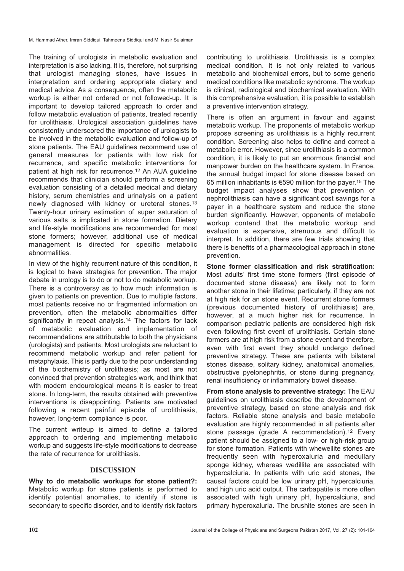The training of urologists in metabolic evaluation and interpretation is also lacking. It is, therefore, not surprising that urologist managing stones, have issues in interpretation and ordering appropriate dietary and medical advice. As a consequence, often the metabolic workup is either not ordered or not followed-up. It is important to develop tailored approach to order and follow metabolic evaluation of patients, treated recently for urolithiasis. Urological association guidelines have consistently underscored the importance of urologists to be involved in the metabolic evaluation and follow-up of stone patients. The EAU guidelines recommend use of general measures for patients with low risk for recurrence, and specific metabolic interventions for patient at high risk for recurrence.12 An AUA guideline recommends that clinician should perform a screening evaluation consisting of a detailed medical and dietary history, serum chemistries and urinalysis on a patient newly diagnosed with kidney or ureteral stones.13 Twenty-hour urinary estimation of super saturation of various salts is implicated in stone formation. Dietary and life-style modifications are recommended for most stone formers; however, additional use of medical management is directed for specific metabolic abnormalities.

In view of the highly recurrent nature of this condition, it is logical to have strategies for prevention. The major debate in urology is to do or not to do metabolic workup. There is a controversy as to how much information is given to patients on prevention. Due to multiple factors, most patients receive no or fragmented information on prevention, often the metabolic abnormalities differ significantly in repeat analysis.<sup>14</sup> The factors for lack of metabolic evaluation and implementation of recommendations are attributable to both the physicians (urologists) and patients. Most urologists are reluctant to recommend metabolic workup and refer patient for metaphylaxis. This is partly due to the poor understanding of the biochemistry of urolithiasis; as most are not convinced that prevention strategies work, and think that with modern endourological means it is easier to treat stone. In long-term, the results obtained with preventive interventions is disappointing. Patients are motivated following a recent painful episode of urolithiasis, however, long-term compliance is poor.

The current writeup is aimed to define a tailored approach to ordering and implementing metabolic workup and suggests life-style modifications to decrease the rate of recurrence for urolithiasis.

#### **DISCUSSION**

**Why to do metabolic workups for stone patient?:** Metabolic workup for stone patients is performed to identify potential anomalies, to identify if stone is secondary to specific disorder, and to identify risk factors

contributing to urolithiasis. Urolithiasis is a complex medical condition. It is not only related to various metabolic and biochemical errors, but to some generic medical conditions like metabolic syndrome. The workup is clinical, radiological and biochemical evaluation. With this comprehensive evaluation, it is possible to establish a preventive intervention strategy.

There is often an argument in favour and against metabolic workup. The proponents of metabolic workup propose screening as urolithiasis is a highly recurrent condition. Screening also helps to define and correct a metabolic error. However, since urolithiasis is a common condition, it is likely to put an enormous financial and manpower burden on the healthcare system. In France, the annual budget impact for stone disease based on 65 million inhabitants is €590 million for the payer.15 The budget impact analyses show that prevention of nephrolithiasis can have a significant cost savings for a payer in a healthcare system and reduce the stone burden significantly. However, opponents of metabolic workup contend that the metabolic workup and evaluation is expensive, strenuous and difficult to interpret. In addition, there are few trials showing that there is benefits of a pharmacological approach in stone prevention.

**Stone former classification and risk stratification:** Most adults' first time stone formers (first episode of documented stone disease) are likely not to form another stone in their lifetime; particularly, if they are not at high risk for an stone event. Recurrent stone formers (previous documented history of urolithiasis) are, however, at a much higher risk for recurrence. In comparison pediatric patients are considered high risk even following first event of urolithiasis. Certain stone formers are at high risk from a stone event and therefore, even with first event they should undergo defined preventive strategy. These are patients with bilateral stones disease, solitary kidney, anatomical anomalies, obstructive pyelonephritis, or stone during pregnancy, renal insufficiency or inflammatory bowel disease.

**From stone analysis to preventive strategy:** The EAU guidelines on urolithiasis describe the development of preventive strategy, based on stone analysis and risk factors. Reliable stone analysis and basic metabolic evaluation are highly recommended in all patients after stone passage (grade A recommendation).12 Every patient should be assigned to a low- or high-risk group for stone formation. Patients with whewellite stones are frequently seen with hyperoxaluria and medullary sponge kidney, whereas wedillite are associated with hypercalciuria. In patients with uric acid stones, the causal factors could be low urinary pH, hypercalciuria, and high uric acid output. The carbapatite is more often associated with high urinary pH, hypercalciuria, and primary hyperoxaluria. The brushite stones are seen in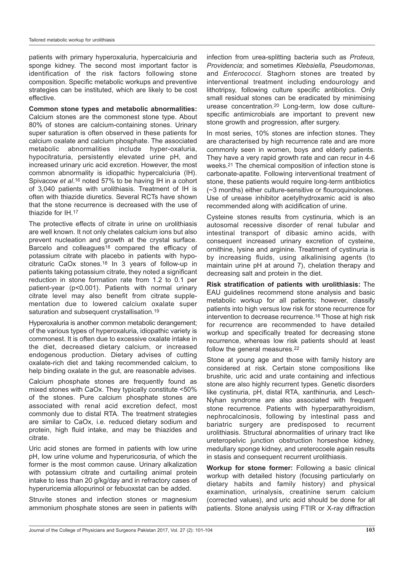patients with primary hyperoxaluria, hypercalciuria and sponge kidney. The second most important factor is identification of the risk factors following stone composition. Specific metabolic workups and preventive strategies can be instituted, which are likely to be cost effective.

**Common stone types and metabolic abnormalities:** Calcium stones are the commonest stone type. About 80% of stones are calcium-containing stones. Urinary super saturation is often observed in these patients for calcium oxalate and calcium phosphate. The associated metabolic abnormalities include hyper-oxaluria, hypocitraturia, persistently elevated urine pH, and increased urinary uric acid excretion. However, the most common abnormality is idiopathic hypercalciuria (IH). Spivacow et al.16 noted 57% to be having IH in a cohort of 3,040 patients with urolithiasis. Treatment of IH is often with thiazide diuretics. Several RCTs have shown that the stone recurrence is decreased with the use of thiazide for IH.17

The protective effects of citrate in urine on urolithiasis are well known. It not only chelates calcium ions but also prevent nucleation and growth at the crystal surface. Barcelo and colleagues<sup>18</sup> compared the efficacy of potassium citrate with placebo in patients with hypocitraturic CaOx stones.18 In 3 years of follow-up in patients taking potassium citrate, they noted a significant reduction in stone formation rate from 1.2 to 0.1 per patient-year (p<0.001). Patients with normal urinary citrate level may also benefit from citrate supplementation due to lowered calcium oxalate super saturation and subsequent crystallisation.<sup>19</sup>

Hyperoxaluria is another common metabolic derangement; of the various types of hyperoxaluria, idiopathic variety is commonest. It is often due to excessive oxalate intake in the diet, decreased dietary calcium, or increased endogenous production. Dietary advises of cutting oxalate-rich diet and taking recommended calcium, to help binding oxalate in the gut, are reasonable advises.

Calcium phosphate stones are frequently found as mixed stones with CaOx. They typically constitute <50% of the stones. Pure calcium phosphate stones are associated with renal acid excretion defect, most commonly due to distal RTA. The treatment strategies are similar to CaOx, i.e. reduced dietary sodium and protein, high fluid intake, and may be thiazides and citrate.

Uric acid stones are formed in patients with low urine pH, low urine volume and hyperuricosuria, of which the former is the most common cause. Urinary alkalization with potassium citrate and curtailing animal protein intake to less than 20 g/kg/day and in refractory cases of hyperuricemia allopurinol or febuoxstat can be added.

Struvite stones and infection stones or magnesium ammonium phosphate stones are seen in patients with

infection from urea-splitting bacteria such as Proteus, Providencia; and sometimes Klebsiella, Pseudomonas, and *Enterococci*. Staghorn stones are treated by interventional treatment including endourology and lithotripsy, following culture specific antibiotics. Only small residual stones can be eradicated by minimising urease concentration.20 Long-term, low dose culturespecific antimicrobials are important to prevent new stone growth and progression, after surgery.

In most series, 10% stones are infection stones. They are characterised by high recurrence rate and are more commonly seen in women, boys and elderly patients. They have a very rapid growth rate and can recur in 4-6 weeks.21 The chemical composition of infection stone is carbonate-apatite. Following interventional treatment of stone, these patients would require long-term antibiotics (~3 months) either culture-sensitive or flouroquinolones. Use of urease inhibitor acetylhydroxamic acid is also recommended along with acidification of urine.

Cysteine stones results from cystinuria, which is an autosomal recessive disorder of renal tubular and intestinal transport of dibasic amino acids, with consequent increased urinary excretion of cysteine, ornithine, lysine and arginine. Treatment of cystinuria is by increasing fluids, using alkalinising agents (to maintain urine pH at around 7), chelation therapy and decreasing salt and protein in the diet.

**Risk stratification of patients with urolithiasis:** The EAU guidelines recommend stone analysis and basic metabolic workup for all patients; however, classify patients into high versus low risk for stone recurrence for intervention to decrease recurrence.16 Those at high risk for recurrence are recommended to have detailed workup and specifically treated for decreasing stone recurrence, whereas low risk patients should at least follow the general measures.<sup>22</sup>

Stone at young age and those with family history are considered at risk. Certain stone compositions like brushite, uric acid and urate containing and infectious stone are also highly recurrent types. Genetic disorders like cystinuria, pH, distal RTA, xanthinuria, and Lesch-Nyhan syndrome are also associated with frequent stone recurrence. Patients with hyperparathyroidism, nephrocalcinosis, following by intestinal pass and bariatric surgery are predisposed to recurrent urolithiasis. Structural abnormalities of urinary tract like ureteropelvic junction obstruction horseshoe kidney, medullary sponge kidney, and ureterocoele again results in stasis and consequent recurrent urolithiasis.

**Workup for stone former:** Following a basic clinical workup with detailed history (focusing particularly on dietary habits and family history) and physical examination, urinalysis, creatinine serum calcium (corrected values), and uric acid should be done for all patients. Stone analysis using FTIR or X-ray diffraction